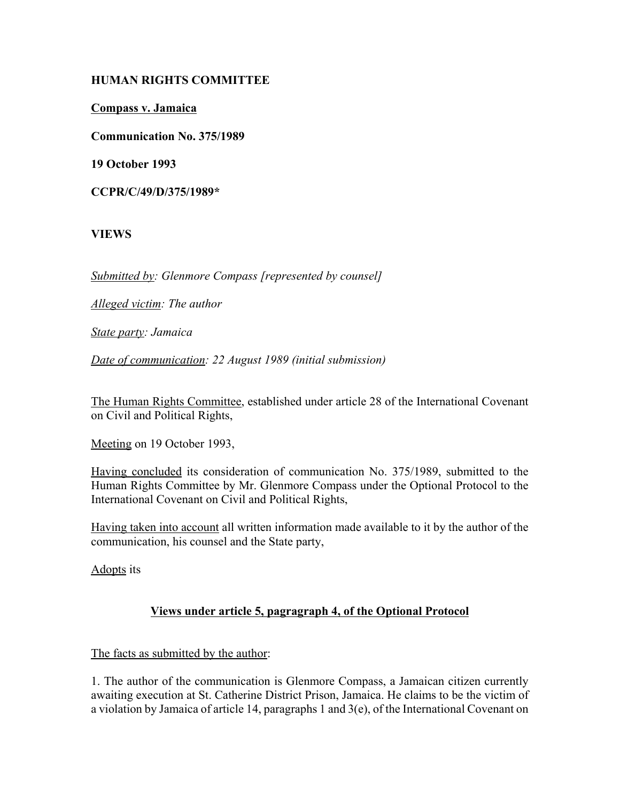## **HUMAN RIGHTS COMMITTEE**

**Compass v. Jamaica**

**Communication No. 375/1989**

**19 October 1993**

**CCPR/C/49/D/375/1989\***

## **VIEWS**

*Submitted by: Glenmore Compass [represented by counsel]*

*Alleged victim: The author*

*State party: Jamaica*

*Date of communication: 22 August 1989 (initial submission)*

The Human Rights Committee, established under article 28 of the International Covenant on Civil and Political Rights,

Meeting on 19 October 1993,

Having concluded its consideration of communication No. 375/1989, submitted to the Human Rights Committee by Mr. Glenmore Compass under the Optional Protocol to the International Covenant on Civil and Political Rights,

Having taken into account all written information made available to it by the author of the communication, his counsel and the State party,

Adopts its

# **Views under article 5, pagragraph 4, of the Optional Protocol**

## The facts as submitted by the author:

1. The author of the communication is Glenmore Compass, a Jamaican citizen currently awaiting execution at St. Catherine District Prison, Jamaica. He claims to be the victim of a violation by Jamaica of article 14, paragraphs 1 and 3(e), of the International Covenant on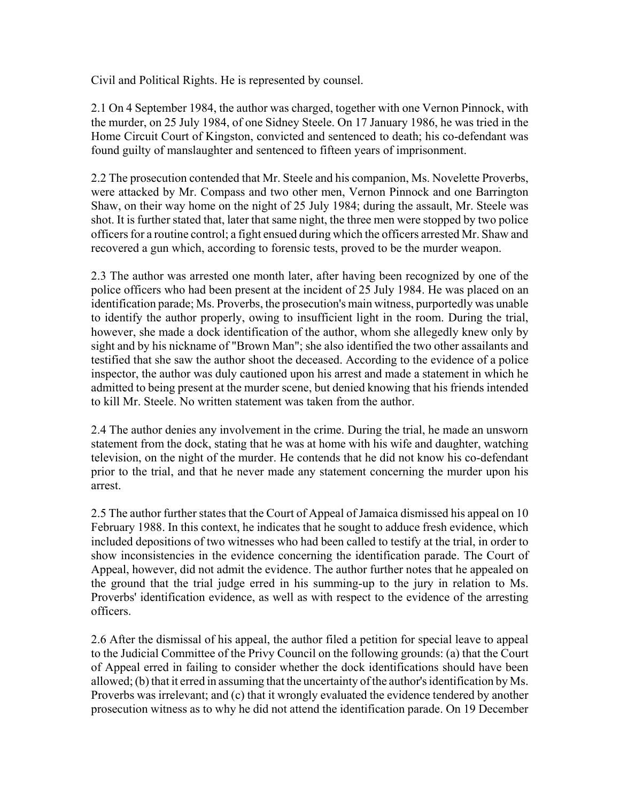Civil and Political Rights. He is represented by counsel.

2.1 On 4 September 1984, the author was charged, together with one Vernon Pinnock, with the murder, on 25 July 1984, of one Sidney Steele. On 17 January 1986, he was tried in the Home Circuit Court of Kingston, convicted and sentenced to death; his co-defendant was found guilty of manslaughter and sentenced to fifteen years of imprisonment.

2.2 The prosecution contended that Mr. Steele and his companion, Ms. Novelette Proverbs, were attacked by Mr. Compass and two other men, Vernon Pinnock and one Barrington Shaw, on their way home on the night of 25 July 1984; during the assault, Mr. Steele was shot. It is further stated that, later that same night, the three men were stopped by two police officers for a routine control; a fight ensued during which the officers arrested Mr. Shaw and recovered a gun which, according to forensic tests, proved to be the murder weapon.

2.3 The author was arrested one month later, after having been recognized by one of the police officers who had been present at the incident of 25 July 1984. He was placed on an identification parade; Ms. Proverbs, the prosecution's main witness, purportedly was unable to identify the author properly, owing to insufficient light in the room. During the trial, however, she made a dock identification of the author, whom she allegedly knew only by sight and by his nickname of "Brown Man"; she also identified the two other assailants and testified that she saw the author shoot the deceased. According to the evidence of a police inspector, the author was duly cautioned upon his arrest and made a statement in which he admitted to being present at the murder scene, but denied knowing that his friends intended to kill Mr. Steele. No written statement was taken from the author.

2.4 The author denies any involvement in the crime. During the trial, he made an unsworn statement from the dock, stating that he was at home with his wife and daughter, watching television, on the night of the murder. He contends that he did not know his co-defendant prior to the trial, and that he never made any statement concerning the murder upon his arrest.

2.5 The author further states that the Court of Appeal of Jamaica dismissed his appeal on 10 February 1988. In this context, he indicates that he sought to adduce fresh evidence, which included depositions of two witnesses who had been called to testify at the trial, in order to show inconsistencies in the evidence concerning the identification parade. The Court of Appeal, however, did not admit the evidence. The author further notes that he appealed on the ground that the trial judge erred in his summing-up to the jury in relation to Ms. Proverbs' identification evidence, as well as with respect to the evidence of the arresting officers.

2.6 After the dismissal of his appeal, the author filed a petition for special leave to appeal to the Judicial Committee of the Privy Council on the following grounds: (a) that the Court of Appeal erred in failing to consider whether the dock identifications should have been allowed; (b) that it erred in assuming that the uncertainty of the author's identification by Ms. Proverbs was irrelevant; and (c) that it wrongly evaluated the evidence tendered by another prosecution witness as to why he did not attend the identification parade. On 19 December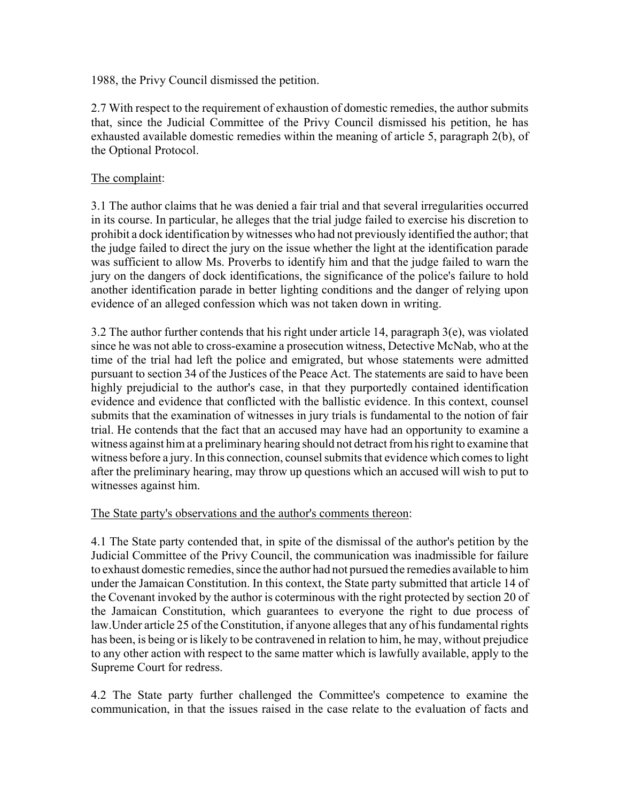1988, the Privy Council dismissed the petition.

2.7 With respect to the requirement of exhaustion of domestic remedies, the author submits that, since the Judicial Committee of the Privy Council dismissed his petition, he has exhausted available domestic remedies within the meaning of article 5, paragraph 2(b), of the Optional Protocol.

#### The complaint:

3.1 The author claims that he was denied a fair trial and that several irregularities occurred in its course. In particular, he alleges that the trial judge failed to exercise his discretion to prohibit a dock identification by witnesses who had not previously identified the author; that the judge failed to direct the jury on the issue whether the light at the identification parade was sufficient to allow Ms. Proverbs to identify him and that the judge failed to warn the jury on the dangers of dock identifications, the significance of the police's failure to hold another identification parade in better lighting conditions and the danger of relying upon evidence of an alleged confession which was not taken down in writing.

3.2 The author further contends that his right under article 14, paragraph  $3(e)$ , was violated since he was not able to cross-examine a prosecution witness, Detective McNab, who at the time of the trial had left the police and emigrated, but whose statements were admitted pursuant to section 34 of the Justices of the Peace Act. The statements are said to have been highly prejudicial to the author's case, in that they purportedly contained identification evidence and evidence that conflicted with the ballistic evidence. In this context, counsel submits that the examination of witnesses in jury trials is fundamental to the notion of fair trial. He contends that the fact that an accused may have had an opportunity to examine a witness against him at a preliminary hearing should not detract from his right to examine that witness before a jury. In this connection, counsel submits that evidence which comes to light after the preliminary hearing, may throw up questions which an accused will wish to put to witnesses against him.

The State party's observations and the author's comments thereon:

4.1 The State party contended that, in spite of the dismissal of the author's petition by the Judicial Committee of the Privy Council, the communication was inadmissible for failure to exhaust domestic remedies, since the author had not pursued the remedies available to him under the Jamaican Constitution. In this context, the State party submitted that article 14 of the Covenant invoked by the author is coterminous with the right protected by section 20 of the Jamaican Constitution, which guarantees to everyone the right to due process of law.Under article 25 of the Constitution, if anyone alleges that any of his fundamental rights has been, is being or is likely to be contravened in relation to him, he may, without prejudice to any other action with respect to the same matter which is lawfully available, apply to the Supreme Court for redress.

4.2 The State party further challenged the Committee's competence to examine the communication, in that the issues raised in the case relate to the evaluation of facts and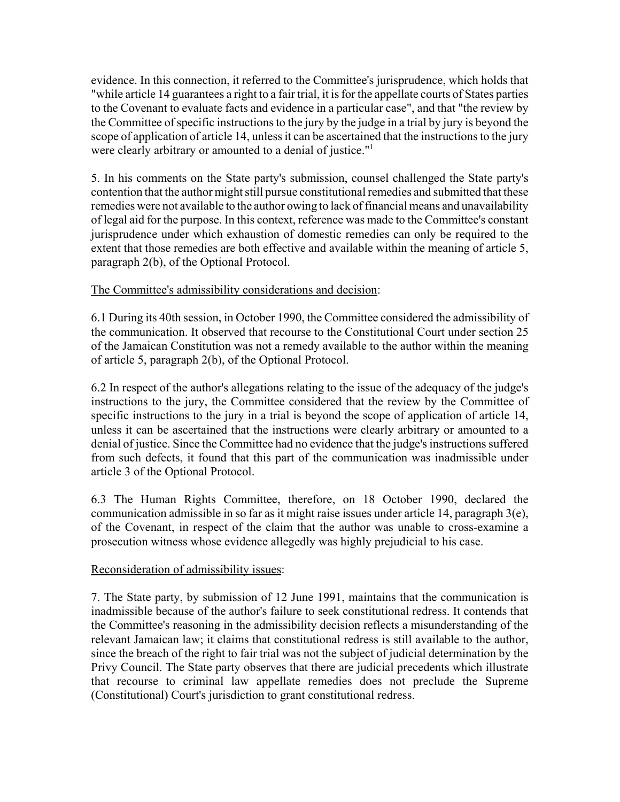evidence. In this connection, it referred to the Committee's jurisprudence, which holds that "while article 14 guarantees a right to a fair trial, it is for the appellate courts of States parties to the Covenant to evaluate facts and evidence in a particular case", and that "the review by the Committee of specific instructions to the jury by the judge in a trial by jury is beyond the scope of application of article 14, unless it can be ascertained that the instructions to the jury were clearly arbitrary or amounted to a denial of justice."<sup>1</sup>

5. In his comments on the State party's submission, counsel challenged the State party's contention that the author might still pursue constitutional remedies and submitted that these remedies were not available to the author owing to lack of financial means and unavailability of legal aid for the purpose. In this context, reference was made to the Committee's constant jurisprudence under which exhaustion of domestic remedies can only be required to the extent that those remedies are both effective and available within the meaning of article 5, paragraph 2(b), of the Optional Protocol.

## The Committee's admissibility considerations and decision:

6.1 During its 40th session, in October 1990, the Committee considered the admissibility of the communication. It observed that recourse to the Constitutional Court under section 25 of the Jamaican Constitution was not a remedy available to the author within the meaning of article 5, paragraph 2(b), of the Optional Protocol.

6.2 In respect of the author's allegations relating to the issue of the adequacy of the judge's instructions to the jury, the Committee considered that the review by the Committee of specific instructions to the jury in a trial is beyond the scope of application of article 14, unless it can be ascertained that the instructions were clearly arbitrary or amounted to a denial of justice. Since the Committee had no evidence that the judge's instructions suffered from such defects, it found that this part of the communication was inadmissible under article 3 of the Optional Protocol.

6.3 The Human Rights Committee, therefore, on 18 October 1990, declared the communication admissible in so far as it might raise issues under article 14, paragraph 3(e), of the Covenant, in respect of the claim that the author was unable to cross-examine a prosecution witness whose evidence allegedly was highly prejudicial to his case.

#### Reconsideration of admissibility issues:

7. The State party, by submission of 12 June 1991, maintains that the communication is inadmissible because of the author's failure to seek constitutional redress. It contends that the Committee's reasoning in the admissibility decision reflects a misunderstanding of the relevant Jamaican law; it claims that constitutional redress is still available to the author, since the breach of the right to fair trial was not the subject of judicial determination by the Privy Council. The State party observes that there are judicial precedents which illustrate that recourse to criminal law appellate remedies does not preclude the Supreme (Constitutional) Court's jurisdiction to grant constitutional redress.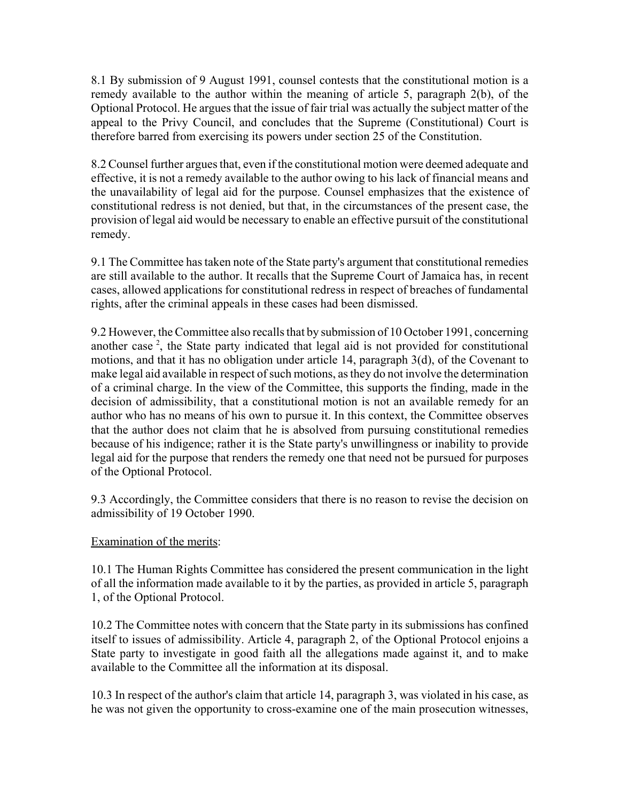8.1 By submission of 9 August 1991, counsel contests that the constitutional motion is a remedy available to the author within the meaning of article 5, paragraph 2(b), of the Optional Protocol. He argues that the issue of fair trial was actually the subject matter of the appeal to the Privy Council, and concludes that the Supreme (Constitutional) Court is therefore barred from exercising its powers under section 25 of the Constitution.

8.2 Counsel further argues that, even if the constitutional motion were deemed adequate and effective, it is not a remedy available to the author owing to his lack of financial means and the unavailability of legal aid for the purpose. Counsel emphasizes that the existence of constitutional redress is not denied, but that, in the circumstances of the present case, the provision of legal aid would be necessary to enable an effective pursuit of the constitutional remedy.

9.1 The Committee has taken note of the State party's argument that constitutional remedies are still available to the author. It recalls that the Supreme Court of Jamaica has, in recent cases, allowed applications for constitutional redress in respect of breaches of fundamental rights, after the criminal appeals in these cases had been dismissed.

9.2 However, the Committee also recalls that by submission of 10 October 1991, concerning another case<sup>2</sup>, the State party indicated that legal aid is not provided for constitutional motions, and that it has no obligation under article 14, paragraph 3(d), of the Covenant to make legal aid available in respect of such motions, as they do not involve the determination of a criminal charge. In the view of the Committee, this supports the finding, made in the decision of admissibility, that a constitutional motion is not an available remedy for an author who has no means of his own to pursue it. In this context, the Committee observes that the author does not claim that he is absolved from pursuing constitutional remedies because of his indigence; rather it is the State party's unwillingness or inability to provide legal aid for the purpose that renders the remedy one that need not be pursued for purposes of the Optional Protocol.

9.3 Accordingly, the Committee considers that there is no reason to revise the decision on admissibility of 19 October 1990.

#### Examination of the merits:

10.1 The Human Rights Committee has considered the present communication in the light of all the information made available to it by the parties, as provided in article 5, paragraph 1, of the Optional Protocol.

10.2 The Committee notes with concern that the State party in its submissions has confined itself to issues of admissibility. Article 4, paragraph 2, of the Optional Protocol enjoins a State party to investigate in good faith all the allegations made against it, and to make available to the Committee all the information at its disposal.

10.3 In respect of the author's claim that article 14, paragraph 3, was violated in his case, as he was not given the opportunity to cross-examine one of the main prosecution witnesses,